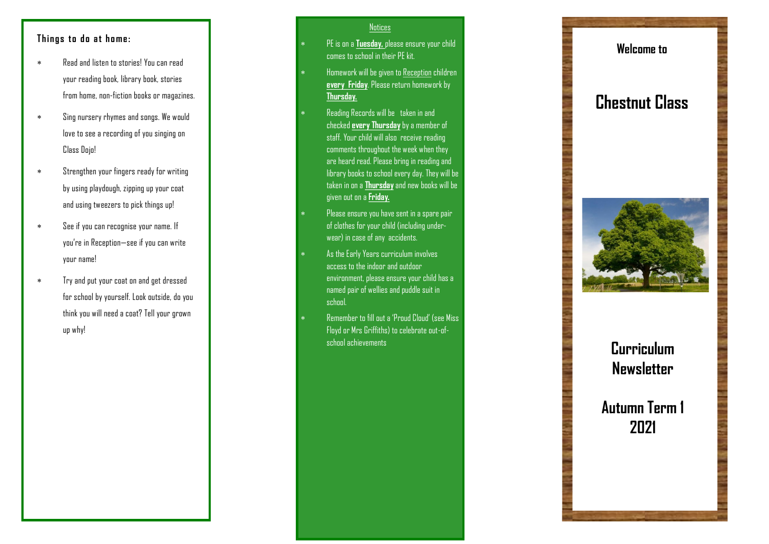### **Things to do at home:**

- Read and listen to stories! You can read your reading book, library book, stories from home, non -fiction books or magazines.
- Sing nursery rhymes and songs. We would love to see a recording of you singing on Class Dojo!
- Strengthen your fingers ready for writing by using playdough, zipping up your coat and using tweezers to pick things up!
- See if you can recognise your name. If you're in Reception —see if you can write your name!
- Try and put your coat on and get dressed for school by yourself. Look outside, do you think you will need a coat? Tell your grown up why!

#### Notices

- PE is on a **Tuesday,** please ensure your child comes to school in their PE kit.
- Homework will be given to Reception children **every Friday**. Please return homework by **Thursday.**
- Reading Records will be taken in and checked **every Thursday**by a member of staff. Your child will also receive reading comments throughout the week when they are heard read. Please bring in reading and library books to school every day. They will be taken in on a **Thursday**and new books will be given out on a **Friday.**
- Please ensure you have sent in a spare pair of clothes for your child (including underwear) in case of any accidents.
- As the Early Years curriculum involves access to the indoor and outdoor environment, please ensure your child has a named pair of wellies and puddle suit in school.
- Remember to fill out a 'Proud Cloud' (see Miss Floyd or Mrs Griffiths) to celebrate out -of school achievements

### **Welcome to**

# **Chestnut Class**



# **Curriculum Newsletter**

## **Autumn Term 1 2021**